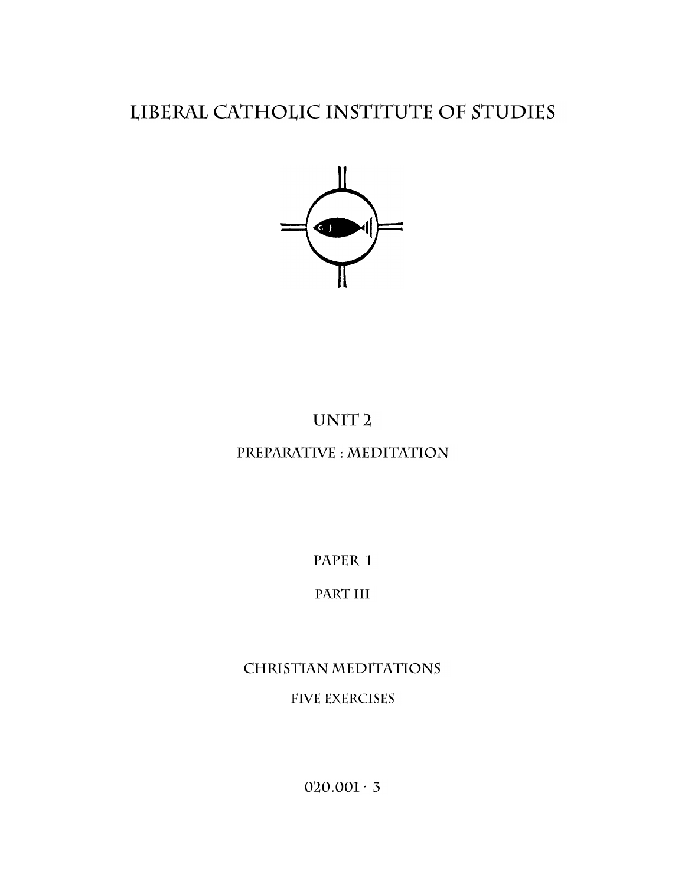## LIBERAL CATHOLIC INSTITUTE OF STUDIES



# UNIT<sub>2</sub>

## PREPARATIVE : MEDITATION

PAPER 1

### PART III

# **CHRISTIAN MEDITATIONS FIVE EXERCISES**

 $020.001 \cdot 3$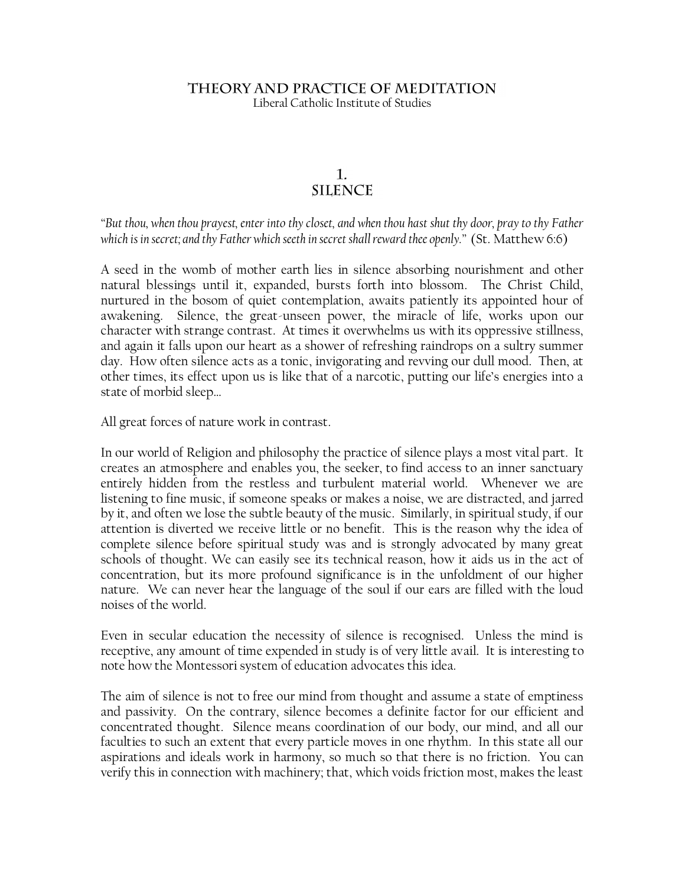#### THEORY AND PRACTICE OF MEDITATION Liberal Catholic Institute of Studies

#### $\mathbf{1}$ . **SILENCE**

*"But thou, when thou prayest, enter into thy closet, and when thou hast shut thy door, pray to thy Father which is in secret; and thy Father which seeth in secret shall reward thee openly."* (St. Matthew 6:6)

A seed in the womb of mother earth lies in silence absorbing nourishment and other natural blessings until it, expanded, bursts forth into blossom. The Christ Child, nurtured in the bosom of quiet contemplation, awaits patiently its appointed hour of awakening. Silence, the great-unseen power, the miracle of life, works upon our character with strange contrast. At times it overwhelms us with its oppressive stillness, and again it falls upon our heart as a shower of refreshing raindrops on a sultry summer day. How often silence acts as a tonic, invigorating and revving our dull mood. Then, at other times, its effect upon us is like that of a narcotic, putting our life"s energies into a state of morbid sleep…

All great forces of nature work in contrast.

In our world of Religion and philosophy the practice of silence plays a most vital part. It creates an atmosphere and enables you, the seeker, to find access to an inner sanctuary entirely hidden from the restless and turbulent material world. Whenever we are listening to fine music, if someone speaks or makes a noise, we are distracted, and jarred by it, and often we lose the subtle beauty of the music. Similarly, in spiritual study, if our attention is diverted we receive little or no benefit. This is the reason why the idea of complete silence before spiritual study was and is strongly advocated by many great schools of thought. We can easily see its technical reason, how it aids us in the act of concentration, but its more profound significance is in the unfoldment of our higher nature. We can never hear the language of the soul if our ears are filled with the loud noises of the world.

Even in secular education the necessity of silence is recognised. Unless the mind is receptive, any amount of time expended in study is of very little avail. It is interesting to note how the Montessori system of education advocates this idea.

The aim of silence is not to free our mind from thought and assume a state of emptiness and passivity. On the contrary, silence becomes a definite factor for our efficient and concentrated thought. Silence means coordination of our body, our mind, and all our faculties to such an extent that every particle moves in one rhythm. In this state all our aspirations and ideals work in harmony, so much so that there is no friction. You can verify this in connection with machinery; that, which voids friction most, makes the least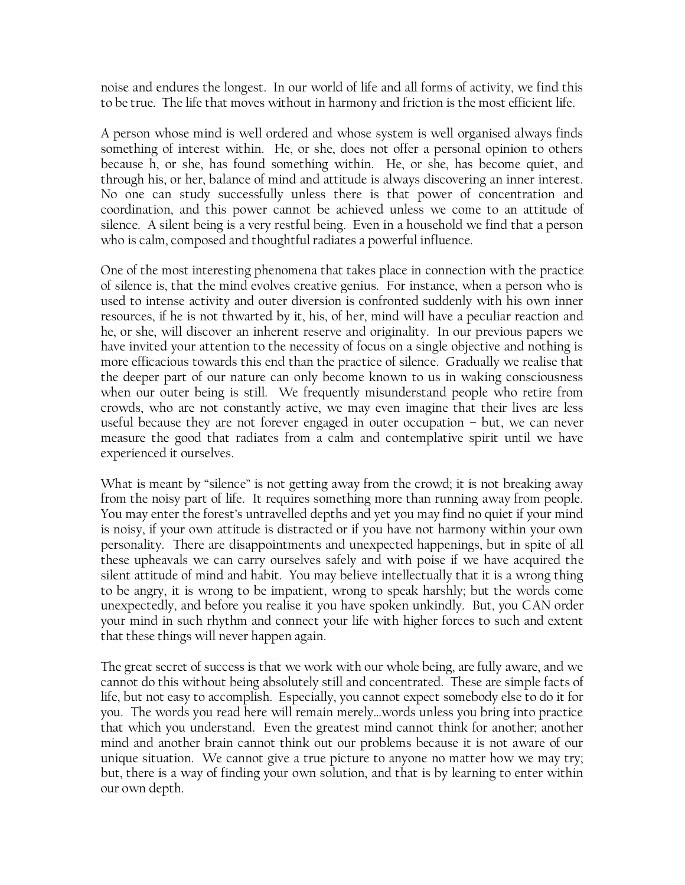noise and endures the longest. In our world of life and all forms of activity, we find this to be true. The life that moves without in harmony and friction is the most efficient life.

A person whose mind is well ordered and whose system is well organised always finds something of interest within. He, or she, does not offer a personal opinion to others because h, or she, has found something within. He, or she, has become quiet, and through his, or her, balance of mind and attitude is always discovering an inner interest. No one can study successfully unless there is that power of concentration and coordination, and this power cannot be achieved unless we come to an attitude of silence. A silent being is a very restful being. Even in a household we find that a person who is calm, composed and thoughtful radiates a powerful influence.

One of the most interesting phenomena that takes place in connection with the practice of silence is, that the mind evolves creative genius. For instance, when a person who is used to intense activity and outer diversion is confronted suddenly with his own inner resources, if he is not thwarted by it, his, of her, mind will have a peculiar reaction and he, or she, will discover an inherent reserve and originality. In our previous papers we have invited your attention to the necessity of focus on a single objective and nothing is more efficacious towards this end than the practice of silence. Gradually we realise that the deeper part of our nature can only become known to us in waking consciousness when our outer being is still. We frequently misunderstand people who retire from crowds, who are not constantly active, we may even imagine that their lives are less useful because they are not forever engaged in outer occupation – but, we can never measure the good that radiates from a calm and contemplative spirit until we have experienced it ourselves.

What is meant by "silence" is not getting away from the crowd; it is not breaking away from the noisy part of life. It requires something more than running away from people. You may enter the forest's untravelled depths and yet you may find no quiet if your mind is noisy, if your own attitude is distracted or if you have not harmony within your own personality. There are disappointments and unexpected happenings, but in spite of all these upheavals we can carry ourselves safely and with poise if we have acquired the silent attitude of mind and habit. You may believe intellectually that it is a wrong thing to be angry, it is wrong to be impatient, wrong to speak harshly; but the words come unexpectedly, and before you realise it you have spoken unkindly. But, you CAN order your mind in such rhythm and connect your life with higher forces to such and extent that these things will never happen again.

The great secret of success is that we work with our whole being, are fully aware, and we cannot do this without being absolutely still and concentrated. These are simple facts of life, but not easy to accomplish. Especially, you cannot expect somebody else to do it for you. The words you read here will remain merely…words unless you bring into practice that which you understand. Even the greatest mind cannot think for another; another mind and another brain cannot think out our problems because it is not aware of our unique situation. We cannot give a true picture to anyone no matter how we may try; but, there is a way of finding your own solution, and that is by learning to enter within our own depth.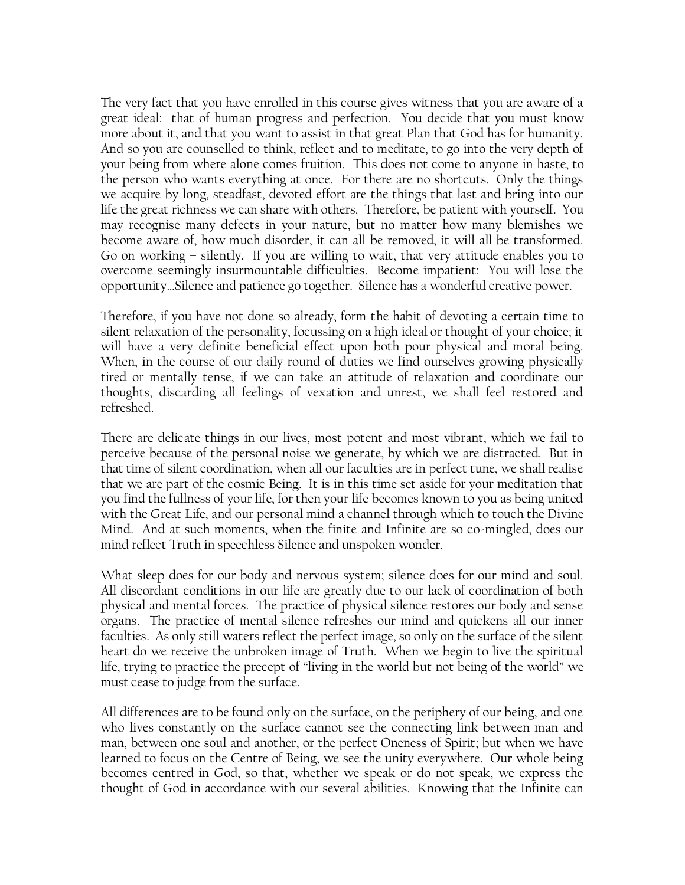The very fact that you have enrolled in this course gives witness that you are aware of a great ideal: that of human progress and perfection. You decide that you must know more about it, and that you want to assist in that great Plan that God has for humanity. And so you are counselled to think, reflect and to meditate, to go into the very depth of your being from where alone comes fruition. This does not come to anyone in haste, to the person who wants everything at once. For there are no shortcuts. Only the things we acquire by long, steadfast, devoted effort are the things that last and bring into our life the great richness we can share with others. Therefore, be patient with yourself. You may recognise many defects in your nature, but no matter how many blemishes we become aware of, how much disorder, it can all be removed, it will all be transformed. Go on working – silently. If you are willing to wait, that very attitude enables you to overcome seemingly insurmountable difficulties. Become impatient: You will lose the opportunity…Silence and patience go together. Silence has a wonderful creative power.

Therefore, if you have not done so already, form the habit of devoting a certain time to silent relaxation of the personality, focussing on a high ideal or thought of your choice; it will have a very definite beneficial effect upon both pour physical and moral being. When, in the course of our daily round of duties we find ourselves growing physically tired or mentally tense, if we can take an attitude of relaxation and coordinate our thoughts, discarding all feelings of vexation and unrest, we shall feel restored and refreshed.

There are delicate things in our lives, most potent and most vibrant, which we fail to perceive because of the personal noise we generate, by which we are distracted. But in that time of silent coordination, when all our faculties are in perfect tune, we shall realise that we are part of the cosmic Being. It is in this time set aside for your meditation that you find the fullness of your life, for then your life becomes known to you as being united with the Great Life, and our personal mind a channel through which to touch the Divine Mind. And at such moments, when the finite and Infinite are so co-mingled, does our mind reflect Truth in speechless Silence and unspoken wonder.

What sleep does for our body and nervous system; silence does for our mind and soul. All discordant conditions in our life are greatly due to our lack of coordination of both physical and mental forces. The practice of physical silence restores our body and sense organs. The practice of mental silence refreshes our mind and quickens all our inner faculties. As only still waters reflect the perfect image, so only on the surface of the silent heart do we receive the unbroken image of Truth. When we begin to live the spiritual life, trying to practice the precept of "living in the world but not being of the world" we must cease to judge from the surface.

All differences are to be found only on the surface, on the periphery of our being, and one who lives constantly on the surface cannot see the connecting link between man and man, between one soul and another, or the perfect Oneness of Spirit; but when we have learned to focus on the Centre of Being, we see the unity everywhere. Our whole being becomes centred in God, so that, whether we speak or do not speak, we express the thought of God in accordance with our several abilities. Knowing that the Infinite can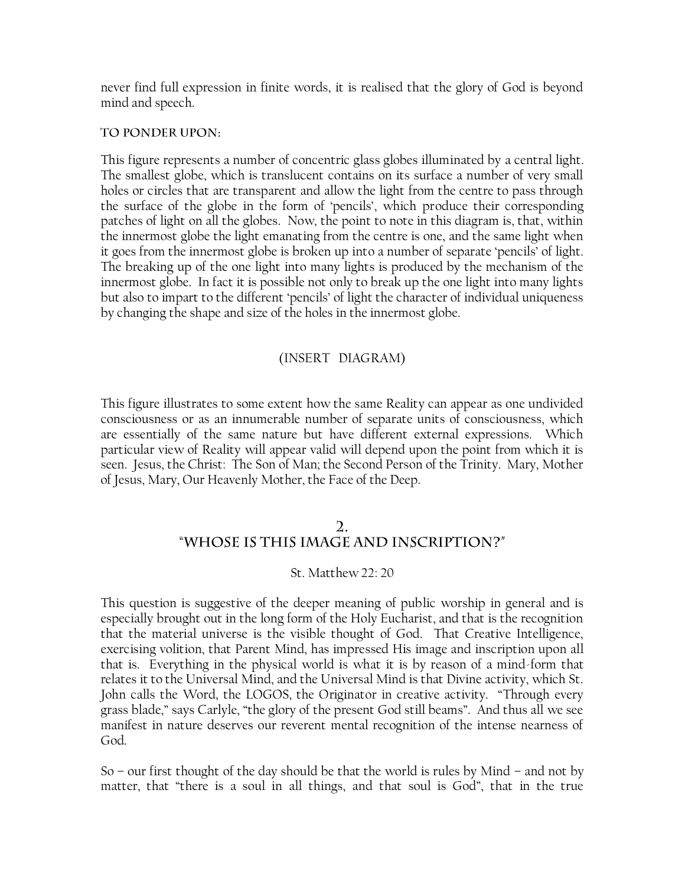never find full expression in finite words, it is realised that the glory of God is beyond mind and speech.

#### TO PONDER UPON:

This figure represents a number of concentric glass globes illuminated by a central light. The smallest globe, which is translucent contains on its surface a number of very small holes or circles that are transparent and allow the light from the centre to pass through the surface of the globe in the form of 'pencils', which produce their corresponding patches of light on all the globes. Now, the point to note in this diagram is, that, within the innermost globe the light emanating from the centre is one, and the same light when it goes from the innermost globe is broken up into a number of separate "pencils" of light. The breaking up of the one light into many lights is produced by the mechanism of the innermost globe. In fact it is possible not only to break up the one light into many lights but also to impart to the different "pencils" of light the character of individual uniqueness by changing the shape and size of the holes in the innermost globe.

#### (INSERT DIAGRAM)

This figure illustrates to some extent how the same Reality can appear as one undivided consciousness or as an innumerable number of separate units of consciousness, which are essentially of the same nature but have different external expressions. Which particular view of Reality will appear valid will depend upon the point from which it is seen. Jesus, the Christ: The Son of Man; the Second Person of the Trinity. Mary, Mother of Jesus, Mary, Our Heavenly Mother, the Face of the Deep.

#### $2.$ "WHOSE IS THIS IMAGE AND INSCRIPTION?"

#### St. Matthew 22: 20

This question is suggestive of the deeper meaning of public worship in general and is especially brought out in the long form of the Holy Eucharist, and that is the recognition that the material universe is the visible thought of God. That Creative Intelligence, exercising volition, that Parent Mind, has impressed His image and inscription upon all that is. Everything in the physical world is what it is by reason of a mind-form that relates it to the Universal Mind, and the Universal Mind is that Divine activity, which St. John calls the Word, the LOGOS, the Originator in creative activity. "Through every grass blade," says Carlyle, "the glory of the present God still beams". And thus all we see manifest in nature deserves our reverent mental recognition of the intense nearness of God.

So – our first thought of the day should be that the world is rules by Mind – and not by matter, that "there is a soul in all things, and that soul is God", that in the true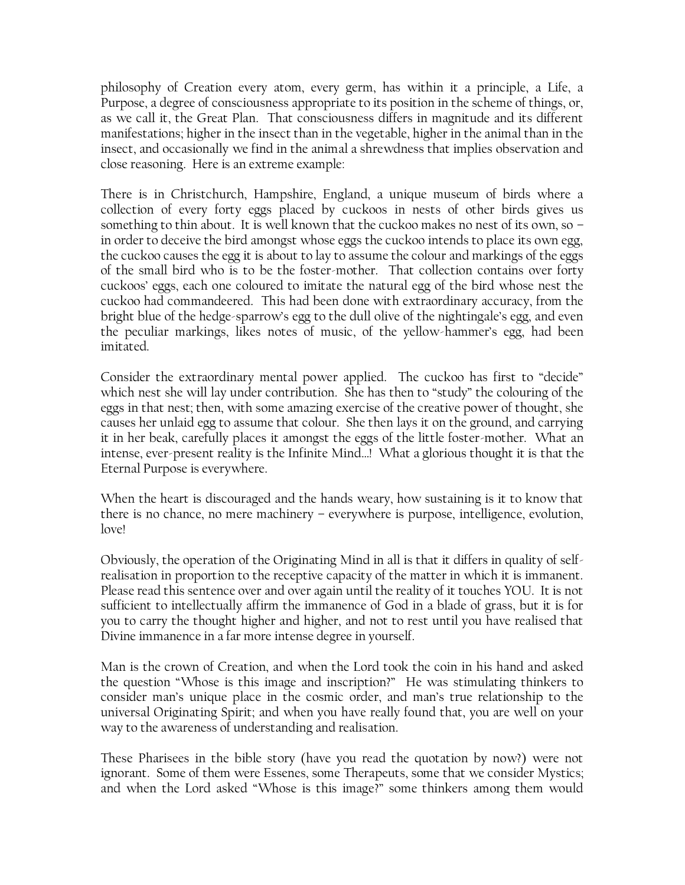philosophy of Creation every atom, every germ, has within it a principle, a Life, a Purpose, a degree of consciousness appropriate to its position in the scheme of things, or, as we call it, the Great Plan. That consciousness differs in magnitude and its different manifestations; higher in the insect than in the vegetable, higher in the animal than in the insect, and occasionally we find in the animal a shrewdness that implies observation and close reasoning. Here is an extreme example:

There is in Christchurch, Hampshire, England, a unique museum of birds where a collection of every forty eggs placed by cuckoos in nests of other birds gives us something to thin about. It is well known that the cuckoo makes no nest of its own, so – in order to deceive the bird amongst whose eggs the cuckoo intends to place its own egg, the cuckoo causes the egg it is about to lay to assume the colour and markings of the eggs of the small bird who is to be the foster-mother. That collection contains over forty cuckoos" eggs, each one coloured to imitate the natural egg of the bird whose nest the cuckoo had commandeered. This had been done with extraordinary accuracy, from the bright blue of the hedge-sparrow"s egg to the dull olive of the nightingale"s egg, and even the peculiar markings, likes notes of music, of the yellow-hammer"s egg, had been imitated.

Consider the extraordinary mental power applied. The cuckoo has first to "decide" which nest she will lay under contribution. She has then to "study" the colouring of the eggs in that nest; then, with some amazing exercise of the creative power of thought, she causes her unlaid egg to assume that colour. She then lays it on the ground, and carrying it in her beak, carefully places it amongst the eggs of the little foster-mother. What an intense, ever-present reality is the Infinite Mind…! What a glorious thought it is that the Eternal Purpose is everywhere.

When the heart is discouraged and the hands weary, how sustaining is it to know that there is no chance, no mere machinery – everywhere is purpose, intelligence, evolution, love!

Obviously, the operation of the Originating Mind in all is that it differs in quality of selfrealisation in proportion to the receptive capacity of the matter in which it is immanent. Please read this sentence over and over again until the reality of it touches YOU. It is not sufficient to intellectually affirm the immanence of God in a blade of grass, but it is for you to carry the thought higher and higher, and not to rest until you have realised that Divine immanence in a far more intense degree in yourself.

Man is the crown of Creation, and when the Lord took the coin in his hand and asked the question "Whose is this image and inscription?" He was stimulating thinkers to consider man"s unique place in the cosmic order, and man"s true relationship to the universal Originating Spirit; and when you have really found that, you are well on your way to the awareness of understanding and realisation.

These Pharisees in the bible story (have you read the quotation by now?) were not ignorant. Some of them were Essenes, some Therapeuts, some that we consider Mystics; and when the Lord asked "Whose is this image?" some thinkers among them would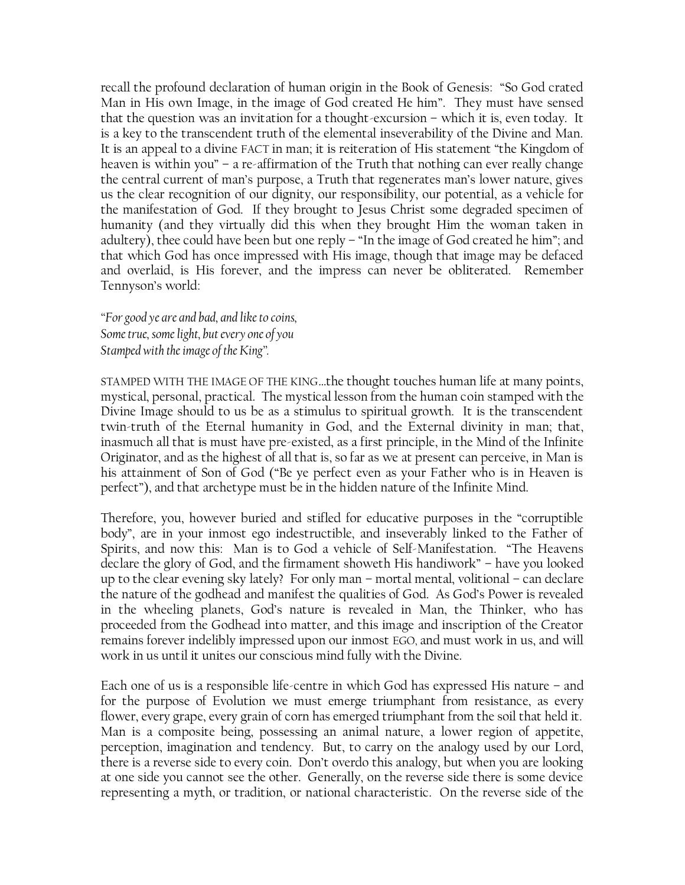recall the profound declaration of human origin in the Book of Genesis: "So God crated Man in His own Image, in the image of God created He him". They must have sensed that the question was an invitation for a thought-excursion – which it is, even today. It is a key to the transcendent truth of the elemental inseverability of the Divine and Man. It is an appeal to a divine FACT in man; it is reiteration of His statement "the Kingdom of heaven is within you" – a re-affirmation of the Truth that nothing can ever really change the central current of man"s purpose, a Truth that regenerates man"s lower nature, gives us the clear recognition of our dignity, our responsibility, our potential, as a vehicle for the manifestation of God. If they brought to Jesus Christ some degraded specimen of humanity (and they virtually did this when they brought Him the woman taken in adultery), thee could have been but one reply – "In the image of God created he him"; and that which God has once impressed with His image, though that image may be defaced and overlaid, is His forever, and the impress can never be obliterated. Remember Tennyson"s world:

*"For good ye are and bad, and like to coins, Some true, some light, but every one of you Stamped with the image of the King".*

STAMPED WITH THE IMAGE OF THE KING…the thought touches human life at many points, mystical, personal, practical. The mystical lesson from the human coin stamped with the Divine Image should to us be as a stimulus to spiritual growth. It is the transcendent twin-truth of the Eternal humanity in God, and the External divinity in man; that, inasmuch all that is must have pre-existed, as a first principle, in the Mind of the Infinite Originator, and as the highest of all that is, so far as we at present can perceive, in Man is his attainment of Son of God ("Be ye perfect even as your Father who is in Heaven is perfect"), and that archetype must be in the hidden nature of the Infinite Mind.

Therefore, you, however buried and stifled for educative purposes in the "corruptible body", are in your inmost ego indestructible, and inseverably linked to the Father of Spirits, and now this: Man is to God a vehicle of Self-Manifestation. "The Heavens declare the glory of God, and the firmament showeth His handiwork" – have you looked up to the clear evening sky lately? For only man – mortal mental, volitional – can declare the nature of the godhead and manifest the qualities of God. As God"s Power is revealed in the wheeling planets, God"s nature is revealed in Man, the Thinker, who has proceeded from the Godhead into matter, and this image and inscription of the Creator remains forever indelibly impressed upon our inmost EGO, and must work in us, and will work in us until it unites our conscious mind fully with the Divine.

Each one of us is a responsible life-centre in which God has expressed His nature – and for the purpose of Evolution we must emerge triumphant from resistance, as every flower, every grape, every grain of corn has emerged triumphant from the soil that held it. Man is a composite being, possessing an animal nature, a lower region of appetite, perception, imagination and tendency. But, to carry on the analogy used by our Lord, there is a reverse side to every coin. Don"t overdo this analogy, but when you are looking at one side you cannot see the other. Generally, on the reverse side there is some device representing a myth, or tradition, or national characteristic. On the reverse side of the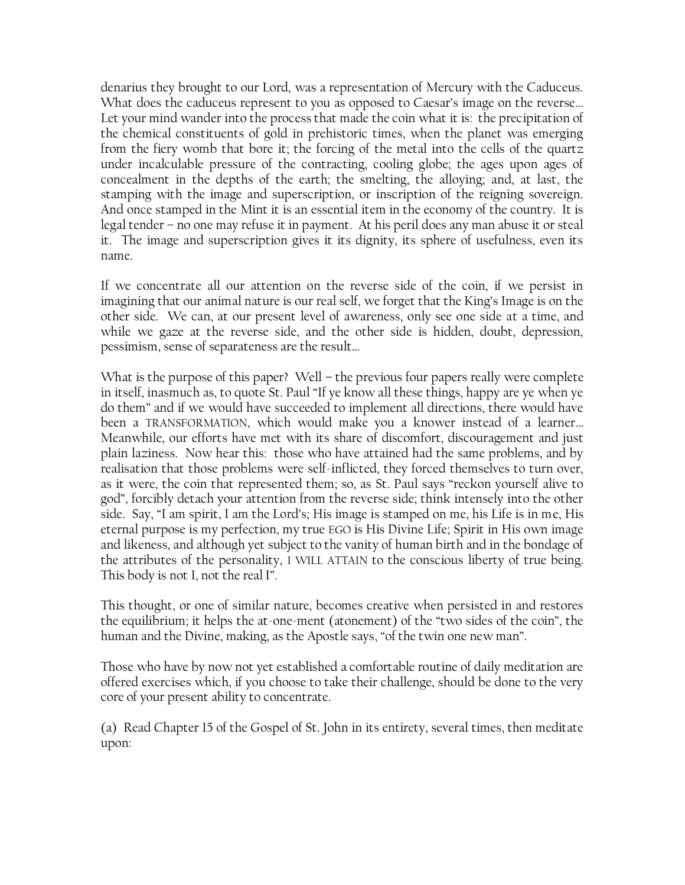denarius they brought to our Lord, was a representation of Mercury with the Caduceus. What does the caduceus represent to you as opposed to Caesar's image on the reverse... Let your mind wander into the process that made the coin what it is: the precipitation of the chemical constituents of gold in prehistoric times, when the planet was emerging from the fiery womb that bore it; the forcing of the metal into the cells of the quartz under incalculable pressure of the contracting, cooling globe; the ages upon ages of concealment in the depths of the earth; the smelting, the alloying; and, at last, the stamping with the image and superscription, or inscription of the reigning sovereign. And once stamped in the Mint it is an essential item in the economy of the country. It is legal tender – no one may refuse it in payment. At his peril does any man abuse it or steal it. The image and superscription gives it its dignity, its sphere of usefulness, even its name.

If we concentrate all our attention on the reverse side of the coin, if we persist in imagining that our animal nature is our real self, we forget that the King"s Image is on the other side. We can, at our present level of awareness, only see one side at a time, and while we gaze at the reverse side, and the other side is hidden, doubt, depression, pessimism, sense of separateness are the result…

What is the purpose of this paper? Well – the previous four papers really were complete in itself, inasmuch as, to quote St. Paul "If ye know all these things, happy are ye when ye do them" and if we would have succeeded to implement all directions, there would have been a TRANSFORMATION, which would make you a knower instead of a learner… Meanwhile, our efforts have met with its share of discomfort, discouragement and just plain laziness. Now hear this: those who have attained had the same problems, and by realisation that those problems were self-inflicted, they forced themselves to turn over, as it were, the coin that represented them; so, as St. Paul says "reckon yourself alive to god", forcibly detach your attention from the reverse side; think intensely into the other side. Say, "I am spirit, I am the Lord"s; His image is stamped on me, his Life is in me, His eternal purpose is my perfection, my true EGO is His Divine Life; Spirit in His own image and likeness, and although yet subject to the vanity of human birth and in the bondage of the attributes of the personality, I WILL ATTAIN to the conscious liberty of true being. This body is not I, not the real I".

This thought, or one of similar nature, becomes creative when persisted in and restores the equilibrium; it helps the at-one-ment (atonement) of the "two sides of the coin", the human and the Divine, making, as the Apostle says, "of the twin one new man".

Those who have by now not yet established a comfortable routine of daily meditation are offered exercises which, if you choose to take their challenge, should be done to the very core of your present ability to concentrate.

(a) Read Chapter 15 of the Gospel of St. John in its entirety, several times, then meditate upon: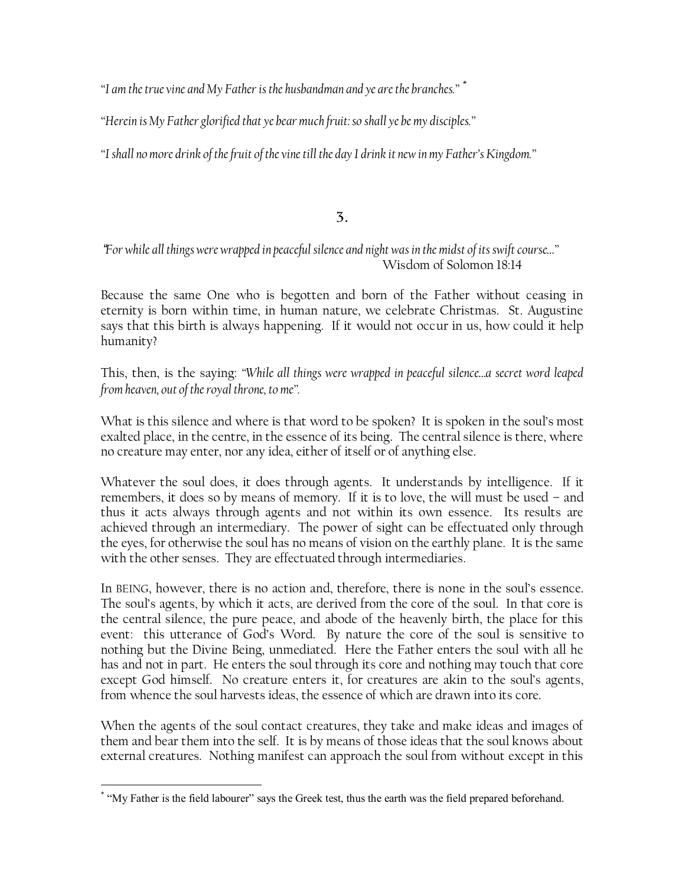*"I am the true vine and My Father is the husbandman and ye are the branches."* \*

*"Herein is My Father glorified that ye bear much fruit: so shall ye be my disciples."*

*"I shall no more drink of the fruit of the vine till the day I drink it new in my Father"s Kingdom."*

 $\overline{3}$ .

#### *For while all things were wrapped in peaceful silence and night was in the midst of its swift course…"* Wisdom of Solomon 18:14

Because the same One who is begotten and born of the Father without ceasing in eternity is born within time, in human nature, we celebrate Christmas. St. Augustine says that this birth is always happening. If it would not occur in us, how could it help humanity?

This, then, is the saying: *"While all things were wrapped in peaceful silence…a secret word leaped from heaven, out of the royal throne, to me".*

What is this silence and where is that word to be spoken? It is spoken in the soul's most exalted place, in the centre, in the essence of its being. The central silence is there, where no creature may enter, nor any idea, either of itself or of anything else.

Whatever the soul does, it does through agents. It understands by intelligence. If it remembers, it does so by means of memory. If it is to love, the will must be used – and thus it acts always through agents and not within its own essence. Its results are achieved through an intermediary. The power of sight can be effectuated only through the eyes, for otherwise the soul has no means of vision on the earthly plane. It is the same with the other senses. They are effectuated through intermediaries.

In BEING, however, there is no action and, therefore, there is none in the soul's essence. The soul's agents, by which it acts, are derived from the core of the soul. In that core is the central silence, the pure peace, and abode of the heavenly birth, the place for this event: this utterance of God"s Word. By nature the core of the soul is sensitive to nothing but the Divine Being, unmediated. Here the Father enters the soul with all he has and not in part. He enters the soul through its core and nothing may touch that core except God himself. No creature enters it, for creatures are akin to the soul's agents, from whence the soul harvests ideas, the essence of which are drawn into its core.

When the agents of the soul contact creatures, they take and make ideas and images of them and bear them into the self. It is by means of those ideas that the soul knows about external creatures. Nothing manifest can approach the soul from without except in this

 $\overline{a}$ \* "My Father is the field labourer" says the Greek test, thus the earth was the field prepared beforehand.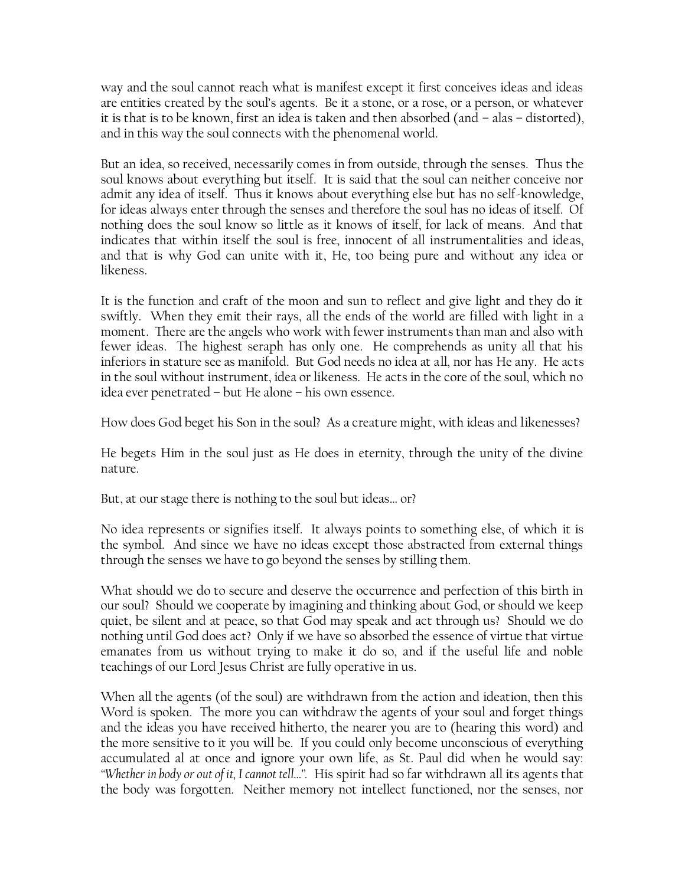way and the soul cannot reach what is manifest except it first conceives ideas and ideas are entities created by the soul"s agents. Be it a stone, or a rose, or a person, or whatever it is that is to be known, first an idea is taken and then absorbed (and – alas – distorted), and in this way the soul connects with the phenomenal world.

But an idea, so received, necessarily comes in from outside, through the senses. Thus the soul knows about everything but itself. It is said that the soul can neither conceive nor admit any idea of itself. Thus it knows about everything else but has no self-knowledge, for ideas always enter through the senses and therefore the soul has no ideas of itself. Of nothing does the soul know so little as it knows of itself, for lack of means. And that indicates that within itself the soul is free, innocent of all instrumentalities and ideas, and that is why God can unite with it, He, too being pure and without any idea or likeness.

It is the function and craft of the moon and sun to reflect and give light and they do it swiftly. When they emit their rays, all the ends of the world are filled with light in a moment. There are the angels who work with fewer instruments than man and also with fewer ideas. The highest seraph has only one. He comprehends as unity all that his inferiors in stature see as manifold. But God needs no idea at all, nor has He any. He acts in the soul without instrument, idea or likeness. He acts in the core of the soul, which no idea ever penetrated – but He alone – his own essence.

How does God beget his Son in the soul? As a creature might, with ideas and likenesses?

He begets Him in the soul just as He does in eternity, through the unity of the divine nature.

But, at our stage there is nothing to the soul but ideas… or?

No idea represents or signifies itself. It always points to something else, of which it is the symbol. And since we have no ideas except those abstracted from external things through the senses we have to go beyond the senses by stilling them.

What should we do to secure and deserve the occurrence and perfection of this birth in our soul? Should we cooperate by imagining and thinking about God, or should we keep quiet, be silent and at peace, so that God may speak and act through us? Should we do nothing until God does act? Only if we have so absorbed the essence of virtue that virtue emanates from us without trying to make it do so, and if the useful life and noble teachings of our Lord Jesus Christ are fully operative in us.

When all the agents (of the soul) are withdrawn from the action and ideation, then this Word is spoken. The more you can withdraw the agents of your soul and forget things and the ideas you have received hitherto, the nearer you are to (hearing this word) and the more sensitive to it you will be. If you could only become unconscious of everything accumulated al at once and ignore your own life, as St. Paul did when he would say: *"Whether in body or out of it, I cannot tell…".* His spirit had so far withdrawn all its agents that the body was forgotten. Neither memory not intellect functioned, nor the senses, nor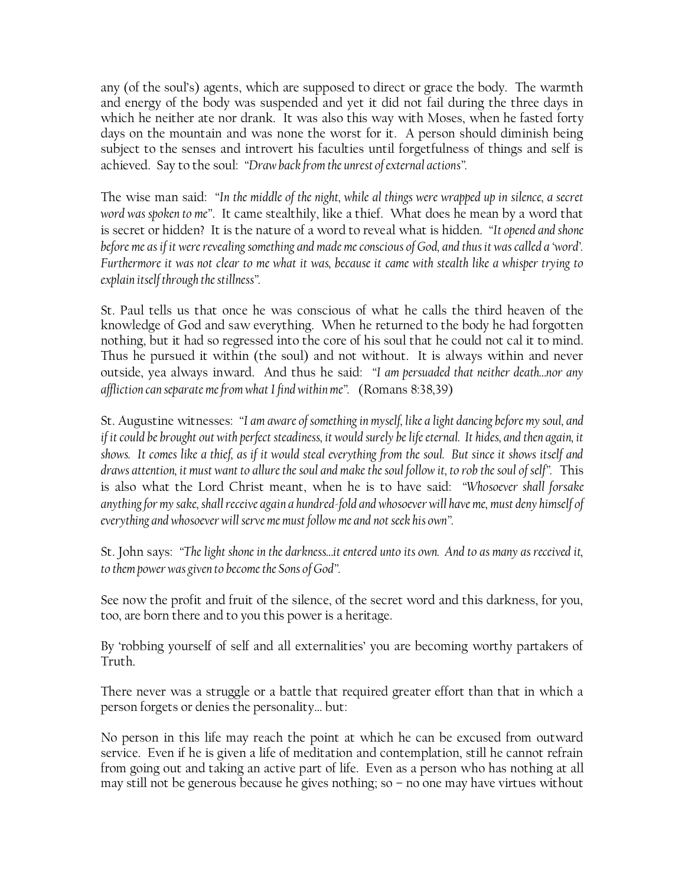any (of the soul"s) agents, which are supposed to direct or grace the body. The warmth and energy of the body was suspended and yet it did not fail during the three days in which he neither ate nor drank. It was also this way with Moses, when he fasted forty days on the mountain and was none the worst for it. A person should diminish being subject to the senses and introvert his faculties until forgetfulness of things and self is achieved. Say to the soul: *"Draw back from the unrest of external actions".*

The wise man said: *"In the middle of the night, while al things were wrapped up in silence, a secret word was spoken to me"*. It came stealthily, like a thief. What does he mean by a word that is secret or hidden? It is the nature of a word to reveal what is hidden. *"It opened and shone before me as if it were revealing something and made me conscious of God, and thus it was called a "word". Furthermore it was not clear to me what it was, because it came with stealth like a whisper trying to explain itself through the stillness".*

St. Paul tells us that once he was conscious of what he calls the third heaven of the knowledge of God and saw everything. When he returned to the body he had forgotten nothing, but it had so regressed into the core of his soul that he could not cal it to mind. Thus he pursued it within (the soul) and not without. It is always within and never outside, yea always inward. And thus he said: *"I am persuaded that neither death…nor any affliction can separate me from what I find within me".* (Romans 8:38,39)

St. Augustine witnesses: *"I am aware of something in myself, like a light dancing before my soul, and if it could be brought out with perfect steadiness, it would surely be life eternal. It hides, and then again, it shows. It comes like a thief, as if it would steal everything from the soul. But since it shows itself and draws attention, it must want to allure the soul and make the soul follow it, to rob the soul of self".* This is also what the Lord Christ meant, when he is to have said: *"Whosoever shall forsake anything for my sake, shall receive again a hundred-fold and whosoever will have me, must deny himself of everything and whosoever will serve me must follow me and not seek his own".*

St. John says: *"The light shone in the darkness…it entered unto its own. And to as many as received it, to them power was given to become the Sons of God".*

See now the profit and fruit of the silence, of the secret word and this darkness, for you, too, are born there and to you this power is a heritage.

By 'robbing yourself of self and all externalities' you are becoming worthy partakers of Truth.

There never was a struggle or a battle that required greater effort than that in which a person forgets or denies the personality… but:

No person in this life may reach the point at which he can be excused from outward service. Even if he is given a life of meditation and contemplation, still he cannot refrain from going out and taking an active part of life. Even as a person who has nothing at all may still not be generous because he gives nothing; so – no one may have virtues without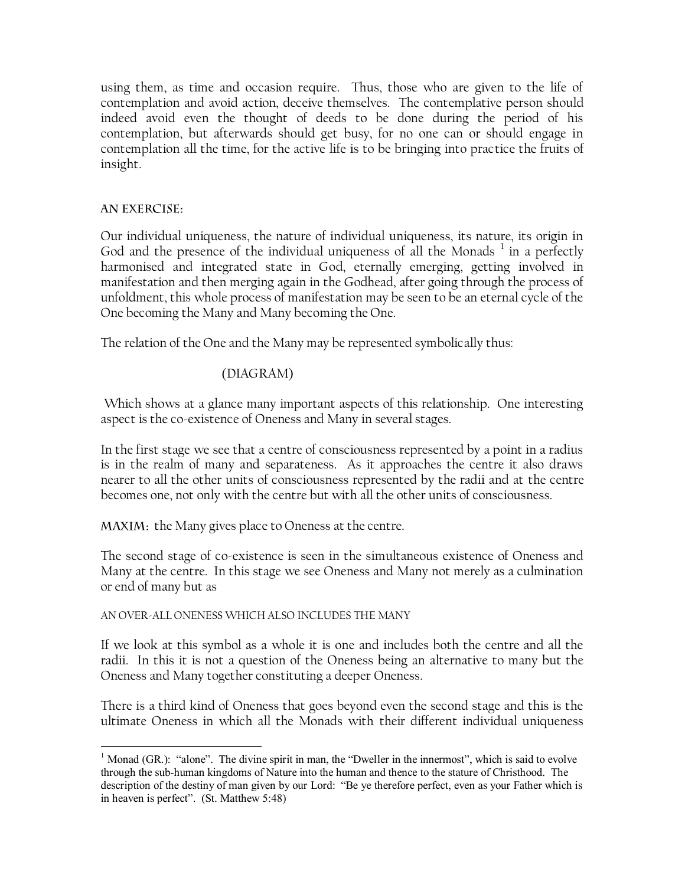using them, as time and occasion require. Thus, those who are given to the life of contemplation and avoid action, deceive themselves. The contemplative person should indeed avoid even the thought of deeds to be done during the period of his contemplation, but afterwards should get busy, for no one can or should engage in contemplation all the time, for the active life is to be bringing into practice the fruits of insight.

#### **AN EXERCISE:**

 $\overline{a}$ 

Our individual uniqueness, the nature of individual uniqueness, its nature, its origin in God and the presence of the individual uniqueness of all the Monads  $^1$  in a perfectly harmonised and integrated state in God, eternally emerging, getting involved in manifestation and then merging again in the Godhead, after going through the process of unfoldment, this whole process of manifestation may be seen to be an eternal cycle of the One becoming the Many and Many becoming the One.

The relation of the One and the Many may be represented symbolically thus:

#### (DIAGRAM)

Which shows at a glance many important aspects of this relationship. One interesting aspect is the co-existence of Oneness and Many in several stages.

In the first stage we see that a centre of consciousness represented by a point in a radius is in the realm of many and separateness. As it approaches the centre it also draws nearer to all the other units of consciousness represented by the radii and at the centre becomes one, not only with the centre but with all the other units of consciousness.

MAXIM: the Many gives place to Oneness at the centre.

The second stage of co-existence is seen in the simultaneous existence of Oneness and Many at the centre. In this stage we see Oneness and Many not merely as a culmination or end of many but as

AN OVER-ALL ONENESS WHICH ALSO INCLUDES THE MANY

If we look at this symbol as a whole it is one and includes both the centre and all the radii. In this it is not a question of the Oneness being an alternative to many but the Oneness and Many together constituting a deeper Oneness.

There is a third kind of Oneness that goes beyond even the second stage and this is the ultimate Oneness in which all the Monads with their different individual uniqueness

<sup>&</sup>lt;sup>1</sup> Monad (GR.): "alone". The divine spirit in man, the "Dweller in the innermost", which is said to evolve through the sub-human kingdoms of Nature into the human and thence to the stature of Christhood. The description of the destiny of man given by our Lord: "Be ye therefore perfect, even as your Father which is in heaven is perfect". (St. Matthew 5:48)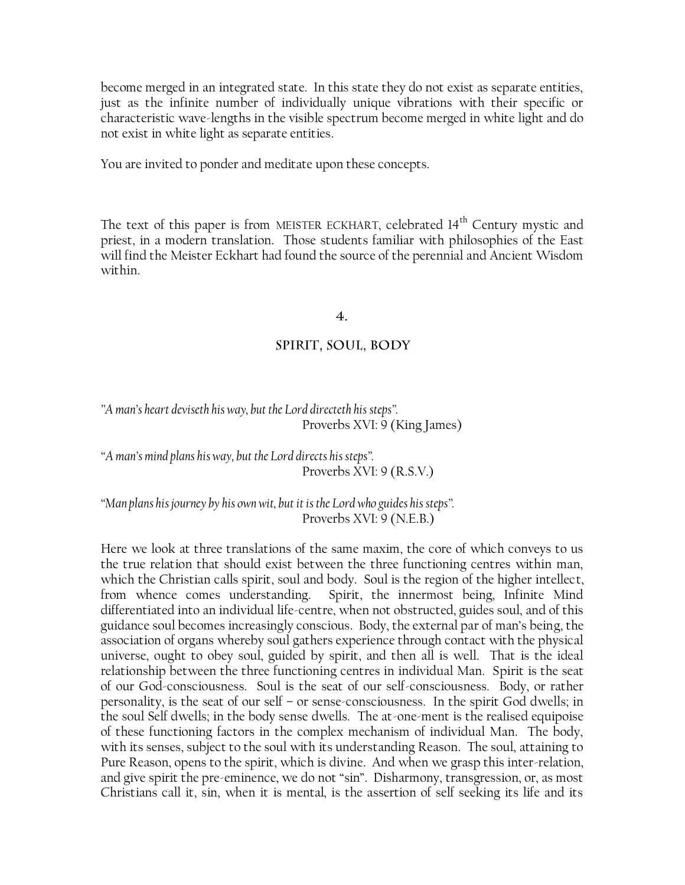become merged in an integrated state. In this state they do not exist as separate entities, just as the infinite number of individually unique vibrations with their specific or characteristic wave-lengths in the visible spectrum become merged in white light and do not exist in white light as separate entities.

You are invited to ponder and meditate upon these concepts.

The text of this paper is from MEISTER ECKHART, celebrated 14<sup>th</sup> Century mystic and priest, in a modern translation. Those students familiar with philosophies of the East will find the Meister Eckhart had found the source of the perennial and Ancient Wisdom within.

#### $\overline{4}$ .

#### SPIRIT, SOUL, BODY

*"A man"s heart deviseth his way, but the Lord directeth his steps".* Proverbs XVI: 9 (King James)

*"A man"s mind plans his way, but the Lord directs his steps".* Proverbs XVI: 9 (R.S.V.)

*"Man plans his journey by his own wit, but it is the Lord who guides his steps".* Proverbs XVI: 9 (N.E.B.)

Here we look at three translations of the same maxim, the core of which conveys to us the true relation that should exist between the three functioning centres within man, which the Christian calls spirit, soul and body. Soul is the region of the higher intellect, from whence comes understanding. Spirit, the innermost being, Infinite Mind differentiated into an individual life-centre, when not obstructed, guides soul, and of this guidance soul becomes increasingly conscious. Body, the external par of man"s being, the association of organs whereby soul gathers experience through contact with the physical universe, ought to obey soul, guided by spirit, and then all is well. That is the ideal relationship between the three functioning centres in individual Man. Spirit is the seat of our God-consciousness. Soul is the seat of our self-consciousness. Body, or rather personality, is the seat of our self – or sense-consciousness. In the spirit God dwells; in the soul Self dwells; in the body sense dwells. The at-one-ment is the realised equipoise of these functioning factors in the complex mechanism of individual Man. The body, with its senses, subject to the soul with its understanding Reason. The soul, attaining to Pure Reason, opens to the spirit, which is divine. And when we grasp this inter-relation, and give spirit the pre-eminence, we do not "sin". Disharmony, transgression, or, as most Christians call it, sin, when it is mental, is the assertion of self seeking its life and its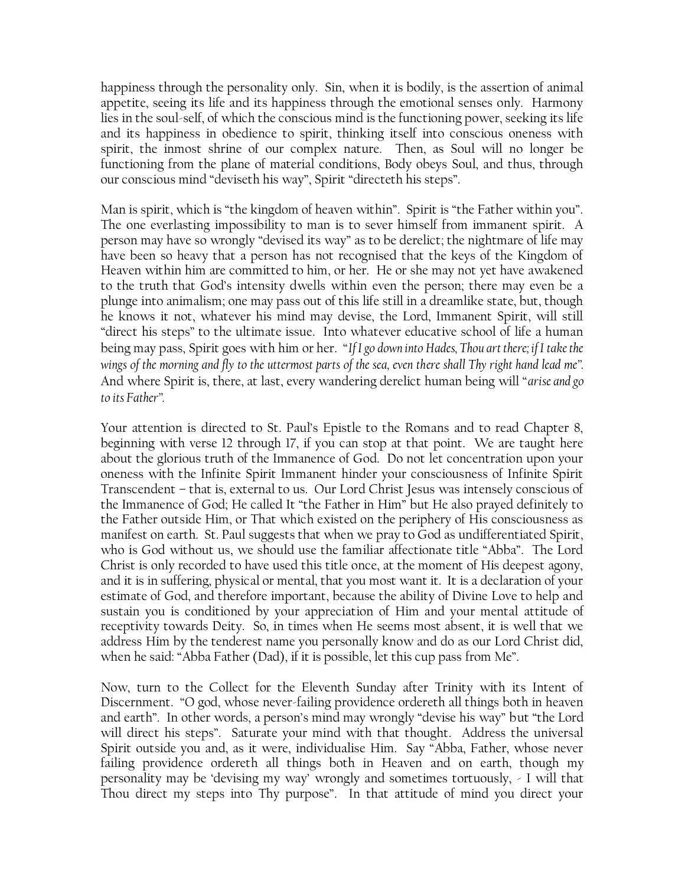happiness through the personality only. Sin, when it is bodily, is the assertion of animal appetite, seeing its life and its happiness through the emotional senses only. Harmony lies in the soul-self, of which the conscious mind is the functioning power, seeking its life and its happiness in obedience to spirit, thinking itself into conscious oneness with spirit, the inmost shrine of our complex nature. Then, as Soul will no longer be functioning from the plane of material conditions, Body obeys Soul, and thus, through our conscious mind "deviseth his way", Spirit "directeth his steps".

Man is spirit, which is "the kingdom of heaven within". Spirit is "the Father within you". The one everlasting impossibility to man is to sever himself from immanent spirit. A person may have so wrongly "devised its way" as to be derelict; the nightmare of life may have been so heavy that a person has not recognised that the keys of the Kingdom of Heaven within him are committed to him, or her. He or she may not yet have awakened to the truth that God"s intensity dwells within even the person; there may even be a plunge into animalism; one may pass out of this life still in a dreamlike state, but, though he knows it not, whatever his mind may devise, the Lord, Immanent Spirit, will still "direct his steps" to the ultimate issue. Into whatever educative school of life a human being may pass, Spirit goes with him or her. "*If I go down into Hades, Thou art there; if I take the wings of the morning and fly to the uttermost parts of the sea, even there shall Thy right hand lead me".* And where Spirit is, there, at last, every wandering derelict human being will "*arise and go to its Father".*

Your attention is directed to St. Paul"s Epistle to the Romans and to read Chapter 8, beginning with verse 12 through 17, if you can stop at that point. We are taught here about the glorious truth of the Immanence of God. Do not let concentration upon your oneness with the Infinite Spirit Immanent hinder your consciousness of Infinite Spirit Transcendent – that is, external to us. Our Lord Christ Jesus was intensely conscious of the Immanence of God; He called It "the Father in Him" but He also prayed definitely to the Father outside Him, or That which existed on the periphery of His consciousness as manifest on earth. St. Paul suggests that when we pray to God as undifferentiated Spirit, who is God without us, we should use the familiar affectionate title "Abba". The Lord Christ is only recorded to have used this title once, at the moment of His deepest agony, and it is in suffering, physical or mental, that you most want it. It is a declaration of your estimate of God, and therefore important, because the ability of Divine Love to help and sustain you is conditioned by your appreciation of Him and your mental attitude of receptivity towards Deity. So, in times when He seems most absent, it is well that we address Him by the tenderest name you personally know and do as our Lord Christ did, when he said: "Abba Father (Dad), if it is possible, let this cup pass from Me".

Now, turn to the Collect for the Eleventh Sunday after Trinity with its Intent of Discernment. "O god, whose never-failing providence ordereth all things both in heaven and earth". In other words, a person's mind may wrongly "devise his way" but "the Lord will direct his steps". Saturate your mind with that thought. Address the universal Spirit outside you and, as it were, individualise Him. Say "Abba, Father, whose never failing providence ordereth all things both in Heaven and on earth, though my personality may be "devising my way" wrongly and sometimes tortuously, - I will that Thou direct my steps into Thy purpose". In that attitude of mind you direct your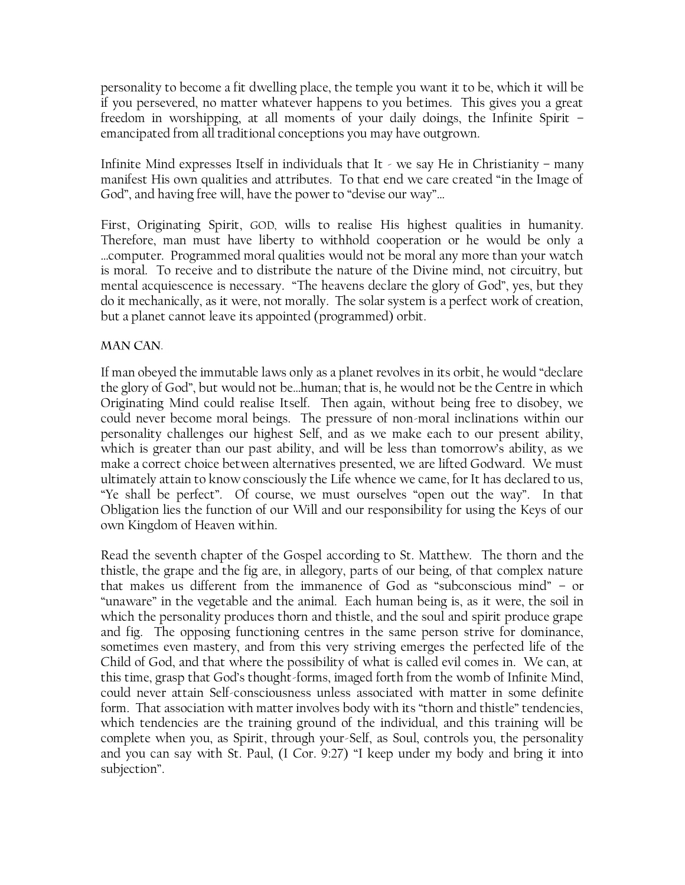personality to become a fit dwelling place, the temple you want it to be, which it will be if you persevered, no matter whatever happens to you betimes. This gives you a great freedom in worshipping, at all moments of your daily doings, the Infinite Spirit – emancipated from all traditional conceptions you may have outgrown.

Infinite Mind expresses Itself in individuals that It - we say He in Christianity - many manifest His own qualities and attributes. To that end we care created "in the Image of God", and having free will, have the power to "devise our way"…

First, Originating Spirit, GOD, wills to realise His highest qualities in humanity. Therefore, man must have liberty to withhold cooperation or he would be only a …computer. Programmed moral qualities would not be moral any more than your watch is moral. To receive and to distribute the nature of the Divine mind, not circuitry, but mental acquiescence is necessary. "The heavens declare the glory of God", yes, but they do it mechanically, as it were, not morally. The solar system is a perfect work of creation, but a planet cannot leave its appointed (programmed) orbit.

#### **MAN CAN.**

If man obeyed the immutable laws only as a planet revolves in its orbit, he would "declare the glory of God", but would not be…human; that is, he would not be the Centre in which Originating Mind could realise Itself. Then again, without being free to disobey, we could never become moral beings. The pressure of non-moral inclinations within our personality challenges our highest Self, and as we make each to our present ability, which is greater than our past ability, and will be less than tomorrow"s ability, as we make a correct choice between alternatives presented, we are lifted Godward. We must ultimately attain to know consciously the Life whence we came, for It has declared to us, "Ye shall be perfect". Of course, we must ourselves "open out the way". In that Obligation lies the function of our Will and our responsibility for using the Keys of our own Kingdom of Heaven within.

Read the seventh chapter of the Gospel according to St. Matthew. The thorn and the thistle, the grape and the fig are, in allegory, parts of our being, of that complex nature that makes us different from the immanence of God as "subconscious mind" – or "unaware" in the vegetable and the animal. Each human being is, as it were, the soil in which the personality produces thorn and thistle, and the soul and spirit produce grape and fig. The opposing functioning centres in the same person strive for dominance, sometimes even mastery, and from this very striving emerges the perfected life of the Child of God, and that where the possibility of what is called evil comes in. We can, at this time, grasp that God"s thought-forms, imaged forth from the womb of Infinite Mind, could never attain Self-consciousness unless associated with matter in some definite form. That association with matter involves body with its "thorn and thistle" tendencies, which tendencies are the training ground of the individual, and this training will be complete when you, as Spirit, through your-Self, as Soul, controls you, the personality and you can say with St. Paul, (I Cor. 9:27) "I keep under my body and bring it into subjection".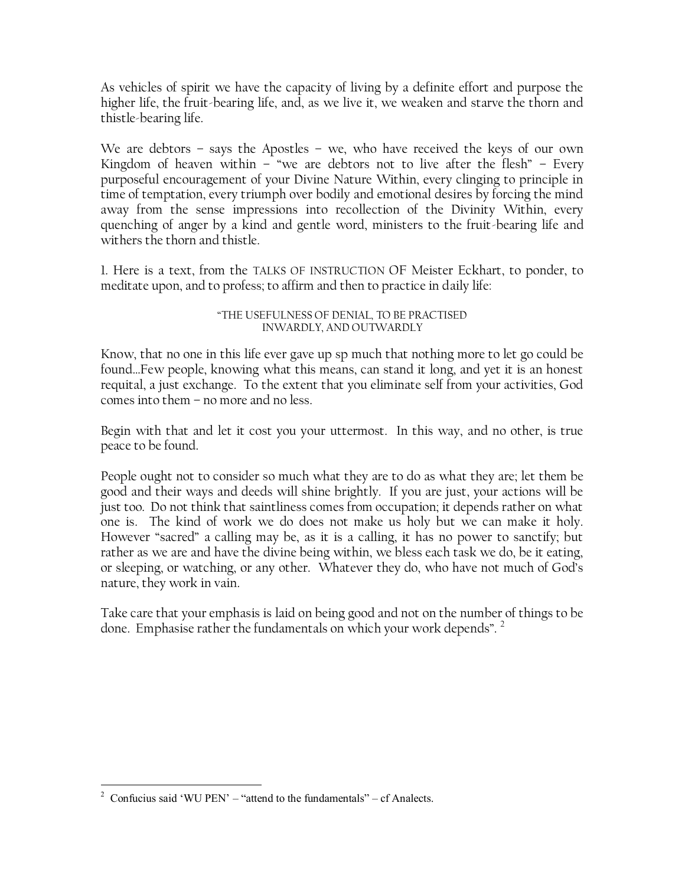As vehicles of spirit we have the capacity of living by a definite effort and purpose the higher life, the fruit-bearing life, and, as we live it, we weaken and starve the thorn and thistle-bearing life.

We are debtors – says the Apostles – we, who have received the keys of our own Kingdom of heaven within  $-$  "we are debtors not to live after the flesh"  $-$  Every purposeful encouragement of your Divine Nature Within, every clinging to principle in time of temptation, every triumph over bodily and emotional desires by forcing the mind away from the sense impressions into recollection of the Divinity Within, every quenching of anger by a kind and gentle word, ministers to the fruit-bearing life and withers the thorn and thistle.

1. Here is a text, from the TALKS OF INSTRUCTION OF Meister Eckhart, to ponder, to meditate upon, and to profess; to affirm and then to practice in daily life:

#### "THE USEFULNESS OF DENIAL, TO BE PRACTISED INWARDLY, AND OUTWARDLY

Know, that no one in this life ever gave up sp much that nothing more to let go could be found…Few people, knowing what this means, can stand it long, and yet it is an honest requital, a just exchange. To the extent that you eliminate self from your activities, God comes into them – no more and no less.

Begin with that and let it cost you your uttermost. In this way, and no other, is true peace to be found.

People ought not to consider so much what they are to do as what they are; let them be good and their ways and deeds will shine brightly. If you are just, your actions will be just too. Do not think that saintliness comes from occupation; it depends rather on what one is. The kind of work we do does not make us holy but we can make it holy. However "sacred" a calling may be, as it is a calling, it has no power to sanctify; but rather as we are and have the divine being within, we bless each task we do, be it eating, or sleeping, or watching, or any other. Whatever they do, who have not much of God"s nature, they work in vain.

Take care that your emphasis is laid on being good and not on the number of things to be done. Emphasise rather the fundamentals on which your work depends".  $2$ 

 $\overline{a}$ 

<sup>&</sup>lt;sup>2</sup> Confucius said 'WU PEN' – "attend to the fundamentals" – cf Analects.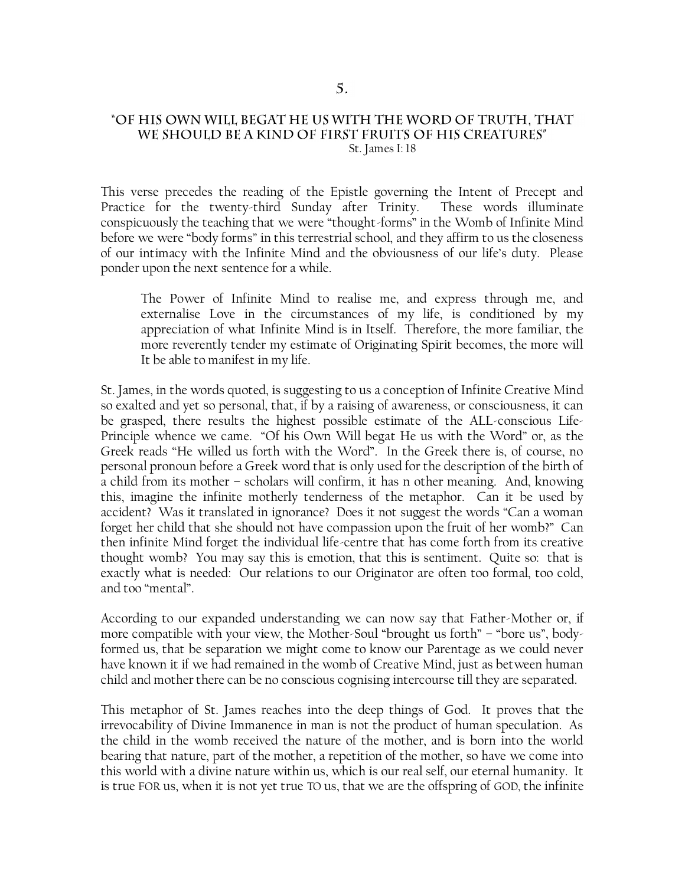#### "OF HIS OWN WILL BEGAT HE US WITH THE WORD OF TRUTH, THAT WE SHOULD BE A KIND OF FIRST FRUITS OF HIS CREATURES" St. James I: 18

This verse precedes the reading of the Epistle governing the Intent of Precept and Practice for the twenty-third Sunday after Trinity. These words illuminate conspicuously the teaching that we were "thought-forms" in the Womb of Infinite Mind before we were "body forms" in this terrestrial school, and they affirm to us the closeness of our intimacy with the Infinite Mind and the obviousness of our life"s duty. Please ponder upon the next sentence for a while.

The Power of Infinite Mind to realise me, and express through me, and externalise Love in the circumstances of my life, is conditioned by my appreciation of what Infinite Mind is in Itself. Therefore, the more familiar, the more reverently tender my estimate of Originating Spirit becomes, the more will It be able to manifest in my life.

St. James, in the words quoted, is suggesting to us a conception of Infinite Creative Mind so exalted and yet so personal, that, if by a raising of awareness, or consciousness, it can be grasped, there results the highest possible estimate of the ALL-conscious Life-Principle whence we came. "Of his Own Will begat He us with the Word" or, as the Greek reads "He willed us forth with the Word". In the Greek there is, of course, no personal pronoun before a Greek word that is only used for the description of the birth of a child from its mother – scholars will confirm, it has n other meaning. And, knowing this, imagine the infinite motherly tenderness of the metaphor. Can it be used by accident? Was it translated in ignorance? Does it not suggest the words "Can a woman forget her child that she should not have compassion upon the fruit of her womb?" Can then infinite Mind forget the individual life-centre that has come forth from its creative thought womb? You may say this is emotion, that this is sentiment. Quite so: that is exactly what is needed: Our relations to our Originator are often too formal, too cold, and too "mental".

According to our expanded understanding we can now say that Father-Mother or, if more compatible with your view, the Mother-Soul "brought us forth" – "bore us", bodyformed us, that be separation we might come to know our Parentage as we could never have known it if we had remained in the womb of Creative Mind, just as between human child and mother there can be no conscious cognising intercourse till they are separated.

This metaphor of St. James reaches into the deep things of God. It proves that the irrevocability of Divine Immanence in man is not the product of human speculation. As the child in the womb received the nature of the mother, and is born into the world bearing that nature, part of the mother, a repetition of the mother, so have we come into this world with a divine nature within us, which is our real self, our eternal humanity. It is true FOR us, when it is not yet true TO us, that we are the offspring of GOD, the infinite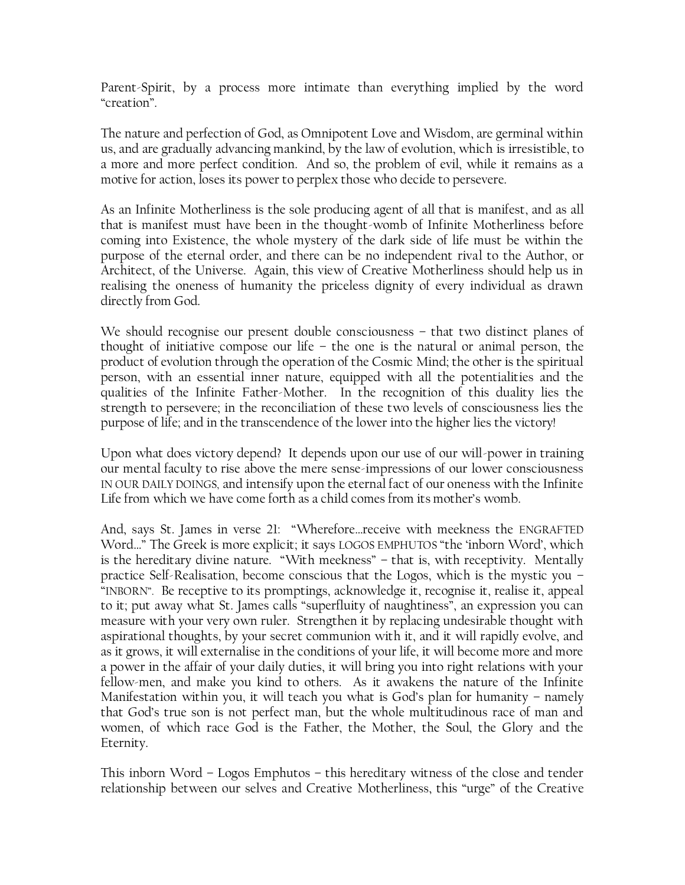Parent-Spirit, by a process more intimate than everything implied by the word "creation".

The nature and perfection of God, as Omnipotent Love and Wisdom, are germinal within us, and are gradually advancing mankind, by the law of evolution, which is irresistible, to a more and more perfect condition. And so, the problem of evil, while it remains as a motive for action, loses its power to perplex those who decide to persevere.

As an Infinite Motherliness is the sole producing agent of all that is manifest, and as all that is manifest must have been in the thought-womb of Infinite Motherliness before coming into Existence, the whole mystery of the dark side of life must be within the purpose of the eternal order, and there can be no independent rival to the Author, or Architect, of the Universe. Again, this view of Creative Motherliness should help us in realising the oneness of humanity the priceless dignity of every individual as drawn directly from God.

We should recognise our present double consciousness – that two distinct planes of thought of initiative compose our life – the one is the natural or animal person, the product of evolution through the operation of the Cosmic Mind; the other is the spiritual person, with an essential inner nature, equipped with all the potentialities and the qualities of the Infinite Father-Mother. In the recognition of this duality lies the strength to persevere; in the reconciliation of these two levels of consciousness lies the purpose of life; and in the transcendence of the lower into the higher lies the victory!

Upon what does victory depend? It depends upon our use of our will-power in training our mental faculty to rise above the mere sense-impressions of our lower consciousness IN OUR DAILY DOINGS, and intensify upon the eternal fact of our oneness with the Infinite Life from which we have come forth as a child comes from its mother"s womb.

And, says St. James in verse 21: "Wherefore…receive with meekness the ENGRAFTED Word…" The Greek is more explicit; it says LOGOS EMPHUTOS "the "inborn Word", which is the hereditary divine nature. "With meekness" – that is, with receptivity. Mentally practice Self-Realisation, become conscious that the Logos, which is the mystic you – "INBORN". Be receptive to its promptings, acknowledge it, recognise it, realise it, appeal to it; put away what St. James calls "superfluity of naughtiness", an expression you can measure with your very own ruler. Strengthen it by replacing undesirable thought with aspirational thoughts, by your secret communion with it, and it will rapidly evolve, and as it grows, it will externalise in the conditions of your life, it will become more and more a power in the affair of your daily duties, it will bring you into right relations with your fellow-men, and make you kind to others. As it awakens the nature of the Infinite Manifestation within you, it will teach you what is God"s plan for humanity – namely that God"s true son is not perfect man, but the whole multitudinous race of man and women, of which race God is the Father, the Mother, the Soul, the Glory and the Eternity.

This inborn Word – Logos Emphutos – this hereditary witness of the close and tender relationship between our selves and Creative Motherliness, this "urge" of the Creative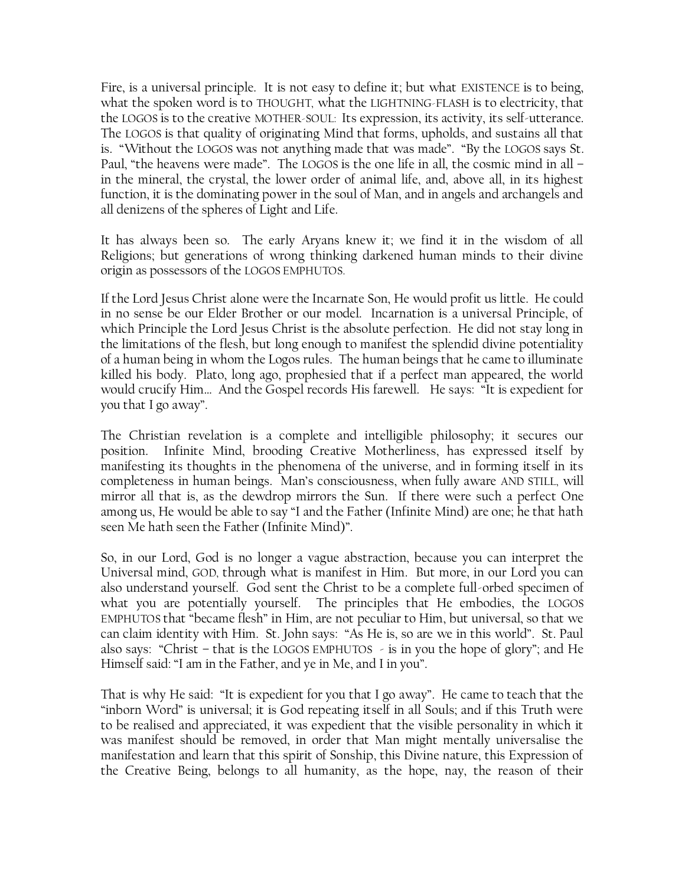Fire, is a universal principle. It is not easy to define it; but what EXISTENCE is to being, what the spoken word is to THOUGHT, what the LIGHTNING-FLASH is to electricity, that the LOGOS is to the creative MOTHER-SOUL: Its expression, its activity, its self-utterance. The LOGOS is that quality of originating Mind that forms, upholds, and sustains all that is. "Without the LOGOS was not anything made that was made". "By the LOGOS says St. Paul, "the heavens were made". The LOGOS is the one life in all, the cosmic mind in all – in the mineral, the crystal, the lower order of animal life, and, above all, in its highest function, it is the dominating power in the soul of Man, and in angels and archangels and all denizens of the spheres of Light and Life.

It has always been so. The early Aryans knew it; we find it in the wisdom of all Religions; but generations of wrong thinking darkened human minds to their divine origin as possessors of the LOGOS EMPHUTOS.

If the Lord Jesus Christ alone were the Incarnate Son, He would profit us little. He could in no sense be our Elder Brother or our model. Incarnation is a universal Principle, of which Principle the Lord Jesus Christ is the absolute perfection. He did not stay long in the limitations of the flesh, but long enough to manifest the splendid divine potentiality of a human being in whom the Logos rules. The human beings that he came to illuminate killed his body. Plato, long ago, prophesied that if a perfect man appeared, the world would crucify Him… And the Gospel records His farewell. He says: "It is expedient for you that I go away".

The Christian revelation is a complete and intelligible philosophy; it secures our position. Infinite Mind, brooding Creative Motherliness, has expressed itself by manifesting its thoughts in the phenomena of the universe, and in forming itself in its completeness in human beings. Man"s consciousness, when fully aware AND STILL, will mirror all that is, as the dewdrop mirrors the Sun. If there were such a perfect One among us, He would be able to say "I and the Father (Infinite Mind) are one; he that hath seen Me hath seen the Father (Infinite Mind)".

So, in our Lord, God is no longer a vague abstraction, because you can interpret the Universal mind, GOD, through what is manifest in Him. But more, in our Lord you can also understand yourself. God sent the Christ to be a complete full-orbed specimen of what you are potentially yourself. The principles that He embodies, the LOGOS EMPHUTOS that "became flesh" in Him, are not peculiar to Him, but universal, so that we can claim identity with Him. St. John says: "As He is, so are we in this world". St. Paul also says: "Christ – that is the LOGOS EMPHUTOS - is in you the hope of glory"; and He Himself said: "I am in the Father, and ye in Me, and I in you".

That is why He said: "It is expedient for you that I go away". He came to teach that the "inborn Word" is universal; it is God repeating itself in all Souls; and if this Truth were to be realised and appreciated, it was expedient that the visible personality in which it was manifest should be removed, in order that Man might mentally universalise the manifestation and learn that this spirit of Sonship, this Divine nature, this Expression of the Creative Being, belongs to all humanity, as the hope, nay, the reason of their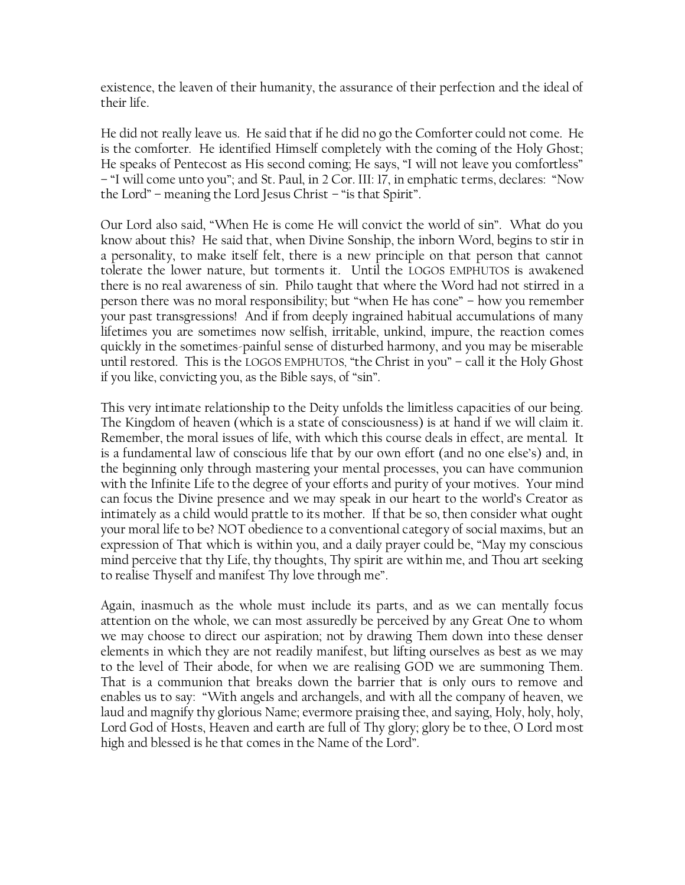existence, the leaven of their humanity, the assurance of their perfection and the ideal of their life.

He did not really leave us. He said that if he did no go the Comforter could not come. He is the comforter. He identified Himself completely with the coming of the Holy Ghost; He speaks of Pentecost as His second coming; He says, "I will not leave you comfortless" – "I will come unto you"; and St. Paul, in 2 Cor. III: 17, in emphatic terms, declares: "Now the Lord" – meaning the Lord Jesus Christ – "is that Spirit".

Our Lord also said, "When He is come He will convict the world of sin". What do you know about this? He said that, when Divine Sonship, the inborn Word, begins to stir in a personality, to make itself felt, there is a new principle on that person that cannot tolerate the lower nature, but torments it. Until the LOGOS EMPHUTOS is awakened there is no real awareness of sin. Philo taught that where the Word had not stirred in a person there was no moral responsibility; but "when He has cone" – how you remember your past transgressions! And if from deeply ingrained habitual accumulations of many lifetimes you are sometimes now selfish, irritable, unkind, impure, the reaction comes quickly in the sometimes-painful sense of disturbed harmony, and you may be miserable until restored. This is the LOGOS EMPHUTOS, "the Christ in you" – call it the Holy Ghost if you like, convicting you, as the Bible says, of "sin".

This very intimate relationship to the Deity unfolds the limitless capacities of our being. The Kingdom of heaven (which is a state of consciousness) is at hand if we will claim it. Remember, the moral issues of life, with which this course deals in effect, are mental. It is a fundamental law of conscious life that by our own effort (and no one else"s) and, in the beginning only through mastering your mental processes, you can have communion with the Infinite Life to the degree of your efforts and purity of your motives. Your mind can focus the Divine presence and we may speak in our heart to the world"s Creator as intimately as a child would prattle to its mother. If that be so, then consider what ought your moral life to be? NOT obedience to a conventional category of social maxims, but an expression of That which is within you, and a daily prayer could be, "May my conscious mind perceive that thy Life, thy thoughts, Thy spirit are within me, and Thou art seeking to realise Thyself and manifest Thy love through me".

Again, inasmuch as the whole must include its parts, and as we can mentally focus attention on the whole, we can most assuredly be perceived by any Great One to whom we may choose to direct our aspiration; not by drawing Them down into these denser elements in which they are not readily manifest, but lifting ourselves as best as we may to the level of Their abode, for when we are realising GOD we are summoning Them. That is a communion that breaks down the barrier that is only ours to remove and enables us to say: "With angels and archangels, and with all the company of heaven, we laud and magnify thy glorious Name; evermore praising thee, and saying, Holy, holy, holy, Lord God of Hosts, Heaven and earth are full of Thy glory; glory be to thee, O Lord most high and blessed is he that comes in the Name of the Lord".